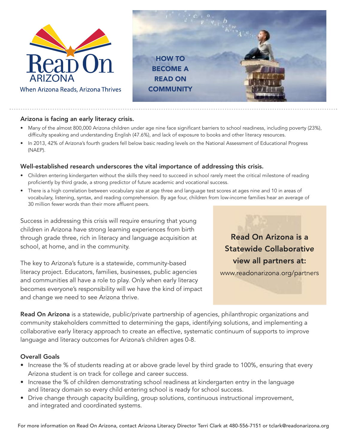



## Arizona is facing an early literacy crisis.

- Many of the almost 800,000 Arizona children under age nine face significant barriers to school readiness, including poverty (23%), difficulty speaking and understanding English (47.6%), and lack of exposure to books and other literacy resources.
- In 2013, 42% of Arizona's fourth graders fell below basic reading levels on the National Assessment of Educational Progress (NAEP).

## Well-established research underscores the vital importance of addressing this crisis.

- Children entering kindergarten without the skills they need to succeed in school rarely meet the critical milestone of reading proficiently by third grade, a strong predictor of future academic and vocational success.
- There is a high correlation between vocabulary size at age three and language test scores at ages nine and 10 in areas of vocabulary, listening, syntax, and reading comprehension. By age four, children from low-income families hear an average of 30 million fewer words than their more affluent peers.

Success in addressing this crisis will require ensuring that young children in Arizona have strong learning experiences from birth through grade three, rich in literacy and language acquisition at school, at home, and in the community.

The key to Arizona's future is a statewide, community-based literacy project. Educators, families, businesses, public agencies and communities all have a role to play. Only when early literacy becomes everyone's responsibility will we have the kind of impact and change we need to see Arizona thrive.

Read On Arizona is a Statewide Collaborative view all partners at:

www.readonarizona.org/partners

Read On Arizona is a statewide, public/private partnership of agencies, philanthropic organizations and community stakeholders committed to determining the gaps, identifying solutions, and implementing a collaborative early literacy approach to create an effective, systematic continuum of supports to improve language and literacy outcomes for Arizona's children ages 0-8.

## Overall Goals

- Increase the % of students reading at or above grade level by third grade to 100%, ensuring that every Arizona student is on track for college and career success.
- Increase the % of children demonstrating school readiness at kindergarten entry in the language and literacy domain so every child entering school is ready for school success.
- Drive change through capacity building, group solutions, continuous instructional improvement, and integrated and coordinated systems.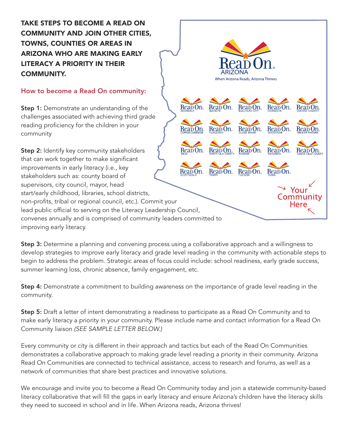**TAKE STEPS TO BECOME A READ ON COMMUNITY AND JOIN OTHER CITIES, TOWNS, COUNTIES OR AREAS IN ARIZONA WHO ARE MAKING EARLY LITERACY A PRIORITY IN THEIR COMMUNITY.**

## How to become a Read On community:

**Step 1:** Demonstrate an understanding of the challenges associated with achieving third grade reading proficiency for the children in your community

Reap On **Step 2:** Identify key community stakeholders Reañ On. that can work together to make significant improvements in early literacy (i.e., key ReabOn. ReabOn. stakeholders such as: county board of supervisors, city council, mayor, head start/early childhood, libraries, school districts, non-profits, tribal or regional council, etc.). Commit your lead public official to serving on the Literacy Leadership Council, convenes annually and is comprised of community leaders committed to improving early literacy.

Step 3: Determine a planning and convening process using a collaborative approach and a willingness to develop strategies to improve early literacy and grade level reading in the community with actionable steps to begin to address the problem. Strategic areas of focus could include: school readiness, early grade success, summer learning loss, chronic absence, family engagement, etc.

When Arizona Reads, Arizona Thrives

Reap On.

ReabOn.

ReapOn.

Reapon. Reapon.

Reapon.

ReapOn.

Reap On

Rea<sub>D</sub>On

Rea<sub>D</sub>On

Your Iommunity Here

Reabon. Reabon.

Reap On.

Reap On.

Step 4: Demonstrate a commitment to building awareness on the importance of grade level reading in the community.

**Step 5:** Draft a letter of intent demonstrating a readiness to participate as a Read On Community and to make early literacy a priority in your community. Please include name and contact information for a Read On Community liaison *(SEE SAMPLE LETTER BELOW.)*

Every community or city is different in their approach and tactics but each of the Read On Communities demonstrates a collaborative approach to making grade level reading a priority in their community. Arizona Read On Communities are connected to technical assistance, access to research and forums, as well as a network of communities that share best practices and innovative solutions.

We encourage and invite you to become a Read On Community today and join a statewide community-based literacy collaborative that will fill the gaps in early literacy and ensure Arizona's children have the literacy skills they need to succeed in school and in life. When Arizona reads, Arizona thrives!